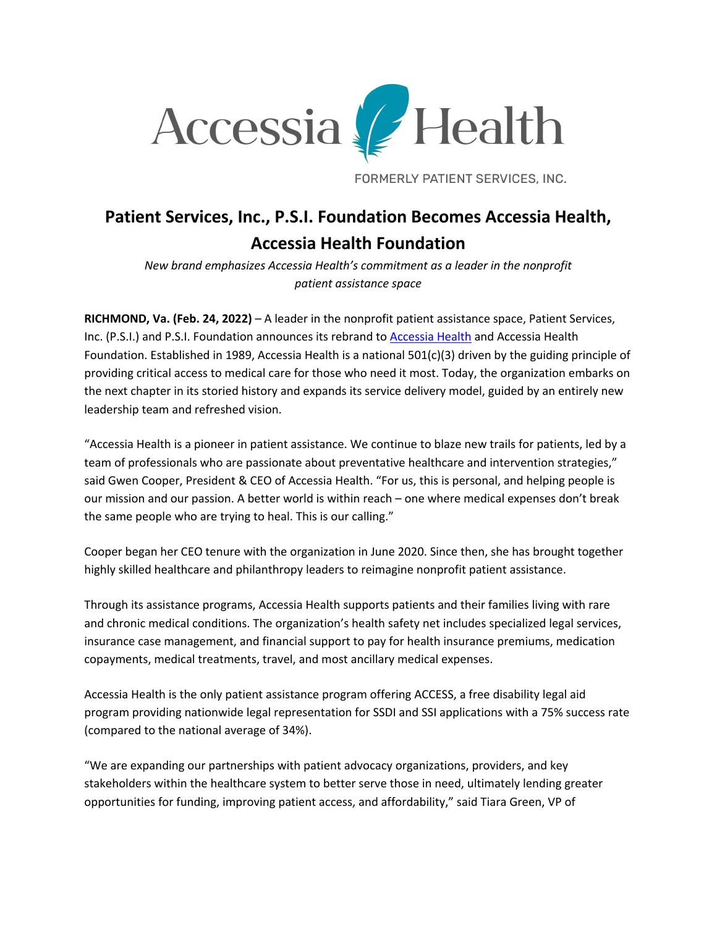

FORMERLY PATIENT SERVICES, INC.

## **Patient Services, Inc., P.S.I. Foundation Becomes Accessia Health, Accessia Health Foundation**

*New brand emphasizes Accessia Health's commitment as a leader in the nonprofit patient assistance space*

**RICHMOND, Va. (Feb. 24, 2022)** – A leader in the nonprofit patient assistance space, Patient Services, Inc. (P.S.I.) and P.S.I. Foundation announces its rebrand to Accessia Health and Accessia Health Foundation. Established in 1989, Accessia Health is a national 501(c)(3) driven by the guiding principle of providing critical access to medical care for those who need it most. Today, the organization embarks on the next chapter in its storied history and expands its service delivery model, guided by an entirely new leadership team and refreshed vision.

"Accessia Health is a pioneer in patient assistance. We continue to blaze new trails for patients, led by a team of professionals who are passionate about preventative healthcare and intervention strategies," said Gwen Cooper, President & CEO of Accessia Health. "For us, this is personal, and helping people is our mission and our passion. A better world is within reach – one where medical expenses don't break the same people who are trying to heal. This is our calling."

Cooper began her CEO tenure with the organization in June 2020. Since then, she has brought together highly skilled healthcare and philanthropy leaders to reimagine nonprofit patient assistance.

Through its assistance programs, Accessia Health supports patients and their families living with rare and chronic medical conditions. The organization's health safety net includes specialized legal services, insurance case management, and financial support to pay for health insurance premiums, medication copayments, medical treatments, travel, and most ancillary medical expenses.

Accessia Health is the only patient assistance program offering ACCESS, a free disability legal aid program providing nationwide legal representation for SSDI and SSI applications with a 75% success rate (compared to the national average of 34%).

"We are expanding our partnerships with patient advocacy organizations, providers, and key stakeholders within the healthcare system to better serve those in need, ultimately lending greater opportunities for funding, improving patient access, and affordability," said Tiara Green, VP of